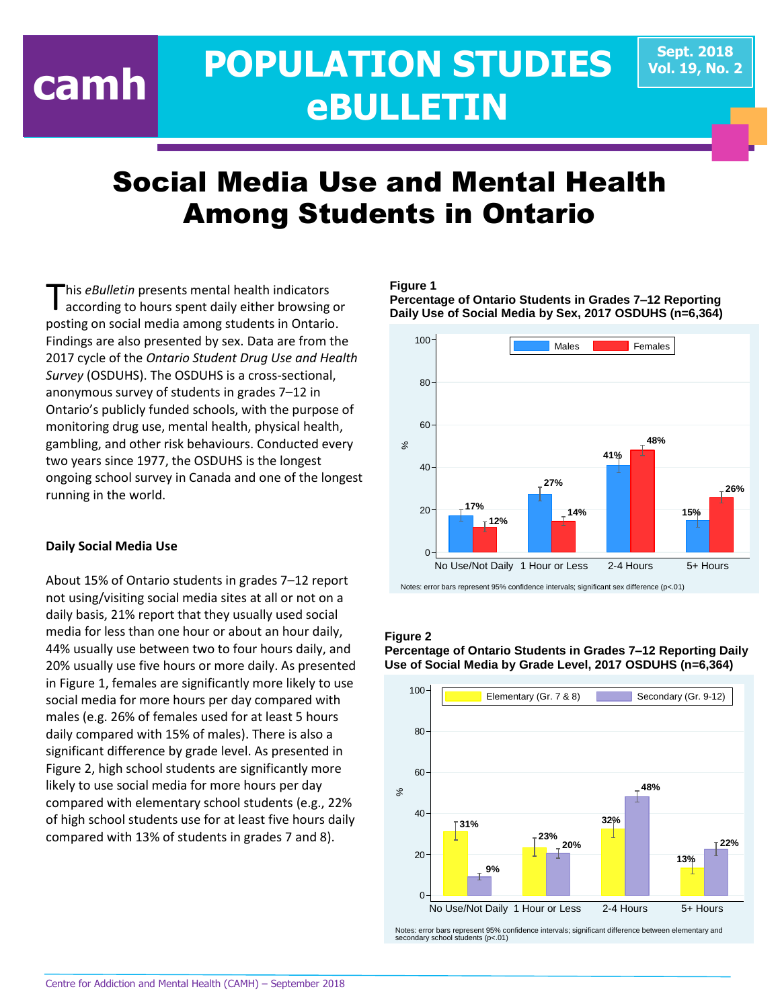# **POPULATION STUDIES eBULLETIN camh**

# Social Media Use and Mental Health Among Students in Ontario

his *eBulletin* presents mental health indicators according to hours spent daily either browsing or posting on social media among students in Ontario. Findings are also presented by sex. Data are from the 2017 cycle of the *Ontario Student Drug Use and Health Survey* (OSDUHS). The OSDUHS is a cross-sectional, anonymous survey of students in grades 7–12 in Ontario's publicly funded schools, with the purpose of monitoring drug use, mental health, physical health, gambling, and other risk behaviours. Conducted every two years since 1977, the OSDUHS is the longest ongoing school survey in Canada and one of the longest running in the world. T

# **Daily Social Media Use**

About 15% of Ontario students in grades 7–12 report not using/visiting social media sites at all or not on a daily basis, 21% report that they usually used social media for less than one hour or about an hour daily, 44% usually use between two to four hours daily, and 20% usually use five hours or more daily. As presented in Figure 1, females are significantly more likely to use social media for more hours per day compared with males (e.g. 26% of females used for at least 5 hours daily compared with 15% of males). There is also a significant difference by grade level. As presented in Figure 2, high school students are significantly more likely to use social media for more hours per day compared with elementary school students (e.g., 22% of high school students use for at least five hours daily compared with 13% of students in grades 7 and 8).

# **Figure 1**

**Percentage of Ontario Students in Grades 7–12 Reporting Daily Use of Social Media by Sex, 2017 OSDUHS (n=6,364)**



Notes: error bars represent 95% confidence intervals; significant sex difference (p<.01)

# **Figure 2**

**Percentage of Ontario Students in Grades 7–12 Reporting Daily Use of Social Media by Grade Level, 2017 OSDUHS (n=6,364)**



Notes: error bars represent 95% confidence intervals; significant difference between elementary and secondary school students (p<.01)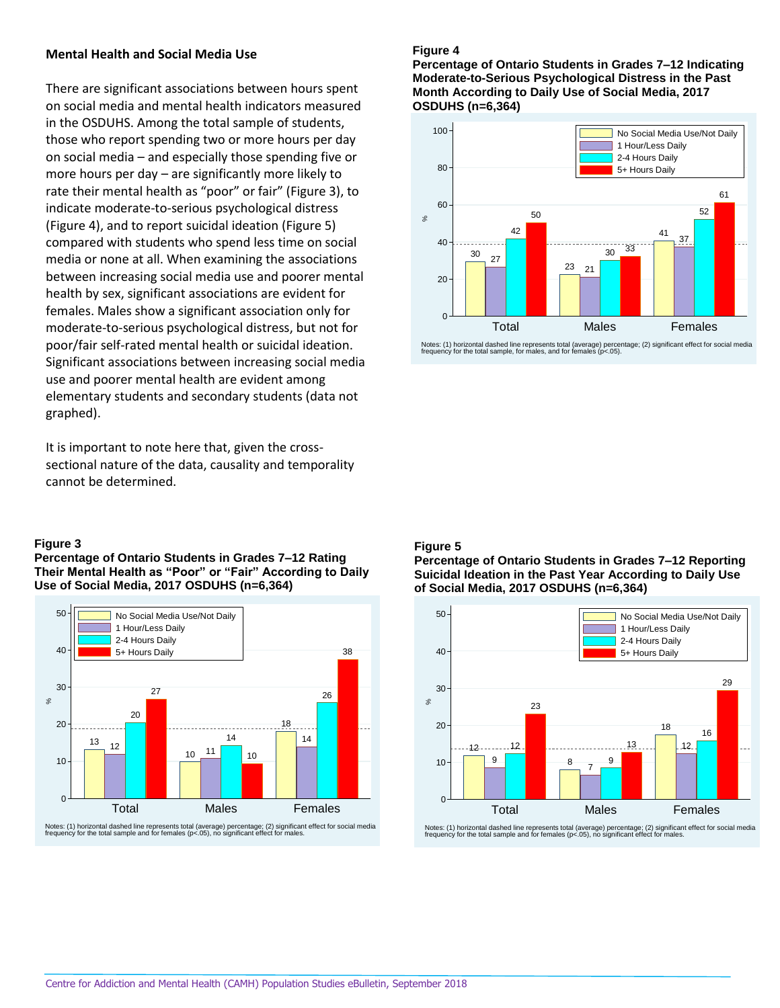## **Mental Health and Social Media Use**

There are significant associations between hours spent on social media and mental health indicators measured in the OSDUHS. Among the total sample of students, those who report spending two or more hours per day on social media – and especially those spending five or more hours per day – are significantly more likely to rate their mental health as "poor" or fair" (Figure 3), to indicate moderate-to-serious psychological distress (Figure 4), and to report suicidal ideation (Figure 5) compared with students who spend less time on social media or none at all. When examining the associations between increasing social media use and poorer mental health by sex, significant associations are evident for females. Males show a significant association only for moderate-to-serious psychological distress, but not for poor/fair self-rated mental health or suicidal ideation. Significant associations between increasing social media use and poorer mental health are evident among elementary students and secondary students (data not graphed).

It is important to note here that, given the crosssectional nature of the data, causality and temporality cannot be determined.

#### **Figure 3**

**Percentage of Ontario Students in Grades 7–12 Rating Their Mental Health as "Poor" or "Fair" According to Daily Use of Social Media, 2017 OSDUHS (n=6,364)**



Notes: (1) horizontal dashed line represents total (average) percentage; (2) significant effect for social media frequency for the total sample and for females (p<.05), no significant effect for males.

#### **Figure 4**

**Percentage of Ontario Students in Grades 7–12 Indicating Moderate-to-Serious Psychological Distress in the Past Month According to Daily Use of Social Media, 2017 OSDUHS (n=6,364)**



Notes: (1) horizontal dashed line represents total (average) percentage; (2) significant effect for social media frequency for the total sample, for males, and for females (p<.05).

#### **Figure 5**

**Percentage of Ontario Students in Grades 7–12 Reporting Suicidal Ideation in the Past Year According to Daily Use of Social Media, 2017 OSDUHS (n=6,364)**



Notes: (1) horizontal dashed line represents total (average) percentage; (2) significant effect for social media frequency for the total sample and for females (p<.05), no significant effect for males.